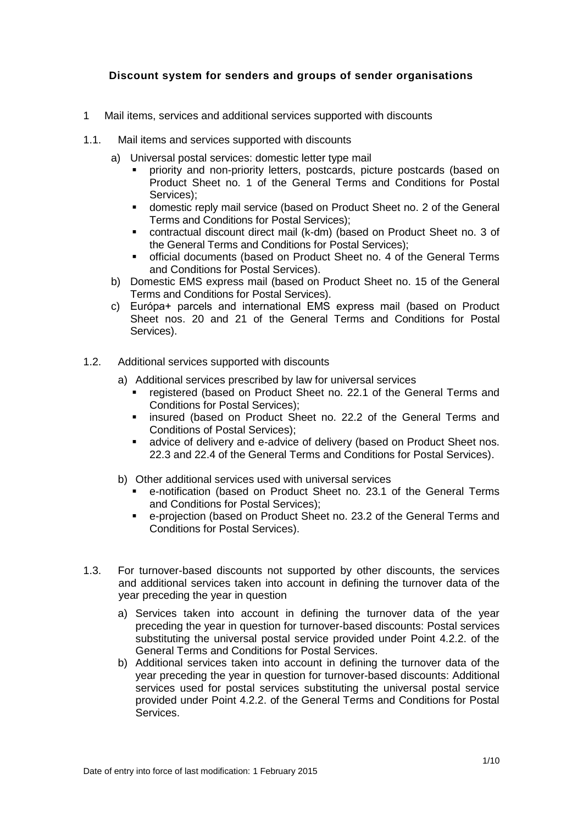# **Discount system for senders and groups of sender organisations**

- 1 Mail items, services and additional services supported with discounts
- 1.1. Mail items and services supported with discounts
	- a) Universal postal services: domestic letter type mail
		- priority and non-priority letters, postcards, picture postcards (based on Product Sheet no. 1 of the General Terms and Conditions for Postal Services);
		- domestic reply mail service (based on Product Sheet no. 2 of the General Terms and Conditions for Postal Services);
		- contractual discount direct mail (k-dm) (based on Product Sheet no. 3 of the General Terms and Conditions for Postal Services);
		- official documents (based on Product Sheet no. 4 of the General Terms and Conditions for Postal Services).
	- b) Domestic EMS express mail (based on Product Sheet no. 15 of the General Terms and Conditions for Postal Services).
	- c) Európa+ parcels and international EMS express mail (based on Product Sheet nos. 20 and 21 of the General Terms and Conditions for Postal Services).
- 1.2. Additional services supported with discounts
	- a) Additional services prescribed by law for universal services
		- registered (based on Product Sheet no. 22.1 of the General Terms and Conditions for Postal Services);
		- **EXEDER** insured (based on Product Sheet no. 22.2 of the General Terms and Conditions of Postal Services);
		- advice of delivery and e-advice of delivery (based on Product Sheet nos. 22.3 and 22.4 of the General Terms and Conditions for Postal Services).
	- b) Other additional services used with universal services
		- e-notification (based on Product Sheet no. 23.1 of the General Terms and Conditions for Postal Services);
		- e-projection (based on Product Sheet no. 23.2 of the General Terms and Conditions for Postal Services).
- 1.3. For turnover-based discounts not supported by other discounts, the services and additional services taken into account in defining the turnover data of the year preceding the year in question
	- a) Services taken into account in defining the turnover data of the year preceding the year in question for turnover-based discounts: Postal services substituting the universal postal service provided under Point 4.2.2. of the General Terms and Conditions for Postal Services.
	- b) Additional services taken into account in defining the turnover data of the year preceding the year in question for turnover-based discounts: Additional services used for postal services substituting the universal postal service provided under Point 4.2.2. of the General Terms and Conditions for Postal Services.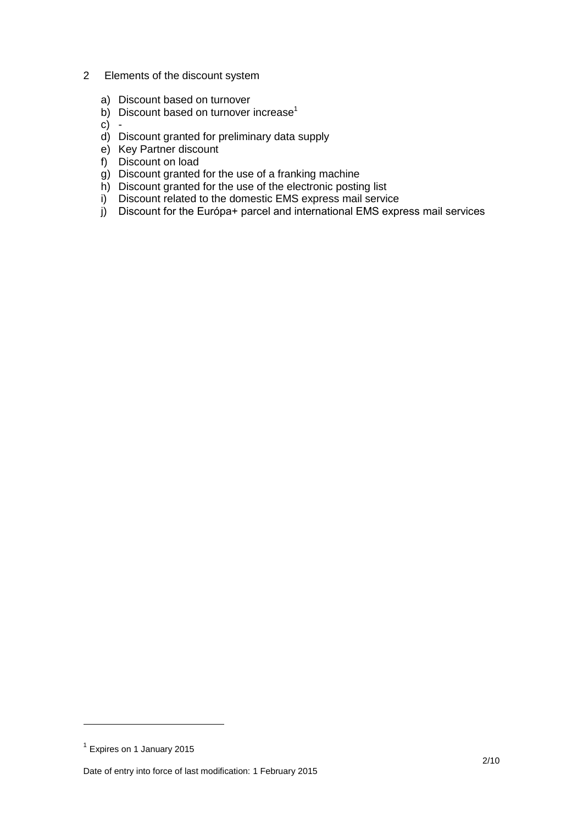- 2 Elements of the discount system
	- a) Discount based on turnover
	- b) Discount based on turnover increase<sup>1</sup>

 $c) -$ 

- d) Discount granted for preliminary data supply
- e) Key Partner discount
- f) Discount on load
- g) Discount granted for the use of a franking machine
- h) Discount granted for the use of the electronic posting list
- i) Discount related to the domestic EMS express mail service
- j) Discount for the Európa+ parcel and international EMS express mail services

<u>—</u>

<sup>&</sup>lt;sup>1</sup> Expires on 1 January 2015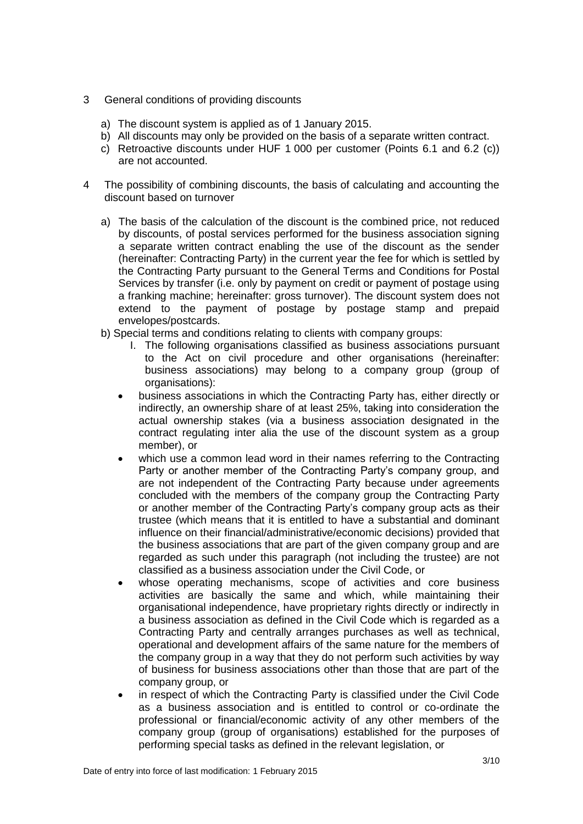- 3 General conditions of providing discounts
	- a) The discount system is applied as of 1 January 2015.
	- b) All discounts may only be provided on the basis of a separate written contract.
	- c) Retroactive discounts under HUF 1 000 per customer (Points 6.1 and 6.2 (c)) are not accounted.
- 4 The possibility of combining discounts, the basis of calculating and accounting the discount based on turnover
	- a) The basis of the calculation of the discount is the combined price, not reduced by discounts, of postal services performed for the business association signing a separate written contract enabling the use of the discount as the sender (hereinafter: Contracting Party) in the current year the fee for which is settled by the Contracting Party pursuant to the General Terms and Conditions for Postal Services by transfer (i.e. only by payment on credit or payment of postage using a franking machine; hereinafter: gross turnover). The discount system does not extend to the payment of postage by postage stamp and prepaid envelopes/postcards.
	- b) Special terms and conditions relating to clients with company groups:
		- I. The following organisations classified as business associations pursuant to the Act on civil procedure and other organisations (hereinafter: business associations) may belong to a company group (group of organisations):
		- business associations in which the Contracting Party has, either directly or indirectly, an ownership share of at least 25%, taking into consideration the actual ownership stakes (via a business association designated in the contract regulating inter alia the use of the discount system as a group member), or
		- which use a common lead word in their names referring to the Contracting Party or another member of the Contracting Party's company group, and are not independent of the Contracting Party because under agreements concluded with the members of the company group the Contracting Party or another member of the Contracting Party's company group acts as their trustee (which means that it is entitled to have a substantial and dominant influence on their financial/administrative/economic decisions) provided that the business associations that are part of the given company group and are regarded as such under this paragraph (not including the trustee) are not classified as a business association under the Civil Code, or
		- whose operating mechanisms, scope of activities and core business activities are basically the same and which, while maintaining their organisational independence, have proprietary rights directly or indirectly in a business association as defined in the Civil Code which is regarded as a Contracting Party and centrally arranges purchases as well as technical, operational and development affairs of the same nature for the members of the company group in a way that they do not perform such activities by way of business for business associations other than those that are part of the company group, or
		- in respect of which the Contracting Party is classified under the Civil Code as a business association and is entitled to control or co-ordinate the professional or financial/economic activity of any other members of the company group (group of organisations) established for the purposes of performing special tasks as defined in the relevant legislation, or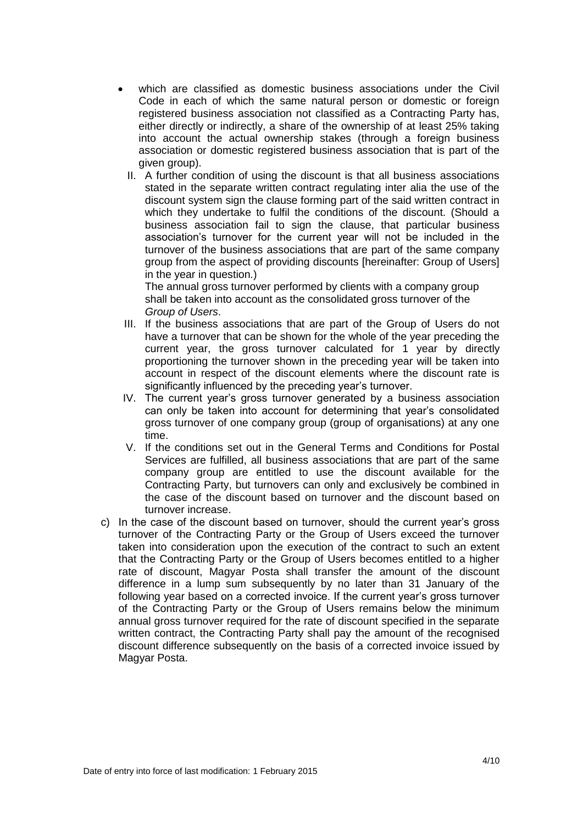- which are classified as domestic business associations under the Civil Code in each of which the same natural person or domestic or foreign registered business association not classified as a Contracting Party has, either directly or indirectly, a share of the ownership of at least 25% taking into account the actual ownership stakes (through a foreign business association or domestic registered business association that is part of the given group).
	- II. A further condition of using the discount is that all business associations stated in the separate written contract regulating inter alia the use of the discount system sign the clause forming part of the said written contract in which they undertake to fulfil the conditions of the discount. (Should a business association fail to sign the clause, that particular business association's turnover for the current year will not be included in the turnover of the business associations that are part of the same company group from the aspect of providing discounts [hereinafter: Group of Users] in the year in question.)

The annual gross turnover performed by clients with a company group shall be taken into account as the consolidated gross turnover of the *Group of Users*.

- III. If the business associations that are part of the Group of Users do not have a turnover that can be shown for the whole of the year preceding the current year, the gross turnover calculated for 1 year by directly proportioning the turnover shown in the preceding year will be taken into account in respect of the discount elements where the discount rate is significantly influenced by the preceding year's turnover.
- IV. The current year's gross turnover generated by a business association can only be taken into account for determining that year's consolidated gross turnover of one company group (group of organisations) at any one time.
- V. If the conditions set out in the General Terms and Conditions for Postal Services are fulfilled, all business associations that are part of the same company group are entitled to use the discount available for the Contracting Party, but turnovers can only and exclusively be combined in the case of the discount based on turnover and the discount based on turnover increase.
- c) In the case of the discount based on turnover, should the current year's gross turnover of the Contracting Party or the Group of Users exceed the turnover taken into consideration upon the execution of the contract to such an extent that the Contracting Party or the Group of Users becomes entitled to a higher rate of discount, Magyar Posta shall transfer the amount of the discount difference in a lump sum subsequently by no later than 31 January of the following year based on a corrected invoice. If the current year's gross turnover of the Contracting Party or the Group of Users remains below the minimum annual gross turnover required for the rate of discount specified in the separate written contract, the Contracting Party shall pay the amount of the recognised discount difference subsequently on the basis of a corrected invoice issued by Magyar Posta.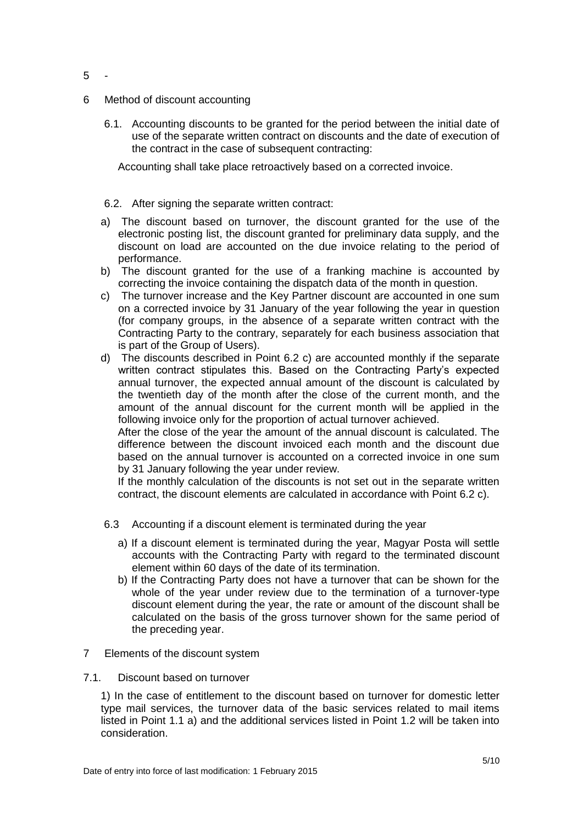- 6 Method of discount accounting
	- 6.1. Accounting discounts to be granted for the period between the initial date of use of the separate written contract on discounts and the date of execution of the contract in the case of subsequent contracting:

Accounting shall take place retroactively based on a corrected invoice.

## 6.2. After signing the separate written contract:

- a) The discount based on turnover, the discount granted for the use of the electronic posting list, the discount granted for preliminary data supply, and the discount on load are accounted on the due invoice relating to the period of performance.
- b) The discount granted for the use of a franking machine is accounted by correcting the invoice containing the dispatch data of the month in question.
- c) The turnover increase and the Key Partner discount are accounted in one sum on a corrected invoice by 31 January of the year following the year in question (for company groups, in the absence of a separate written contract with the Contracting Party to the contrary, separately for each business association that is part of the Group of Users).
- d) The discounts described in Point 6.2 c) are accounted monthly if the separate written contract stipulates this. Based on the Contracting Party's expected annual turnover, the expected annual amount of the discount is calculated by the twentieth day of the month after the close of the current month, and the amount of the annual discount for the current month will be applied in the following invoice only for the proportion of actual turnover achieved.

After the close of the year the amount of the annual discount is calculated. The difference between the discount invoiced each month and the discount due based on the annual turnover is accounted on a corrected invoice in one sum by 31 January following the year under review.

If the monthly calculation of the discounts is not set out in the separate written contract, the discount elements are calculated in accordance with Point 6.2 c).

- 6.3 Accounting if a discount element is terminated during the year
	- a) If a discount element is terminated during the year, Magyar Posta will settle accounts with the Contracting Party with regard to the terminated discount element within 60 days of the date of its termination.
	- b) If the Contracting Party does not have a turnover that can be shown for the whole of the year under review due to the termination of a turnover-type discount element during the year, the rate or amount of the discount shall be calculated on the basis of the gross turnover shown for the same period of the preceding year.
- 7 Elements of the discount system
- 7.1. Discount based on turnover

1) In the case of entitlement to the discount based on turnover for domestic letter type mail services, the turnover data of the basic services related to mail items listed in Point 1.1 a) and the additional services listed in Point 1.2 will be taken into consideration.

Date of entry into force of last modification: 1 February 2015

5 -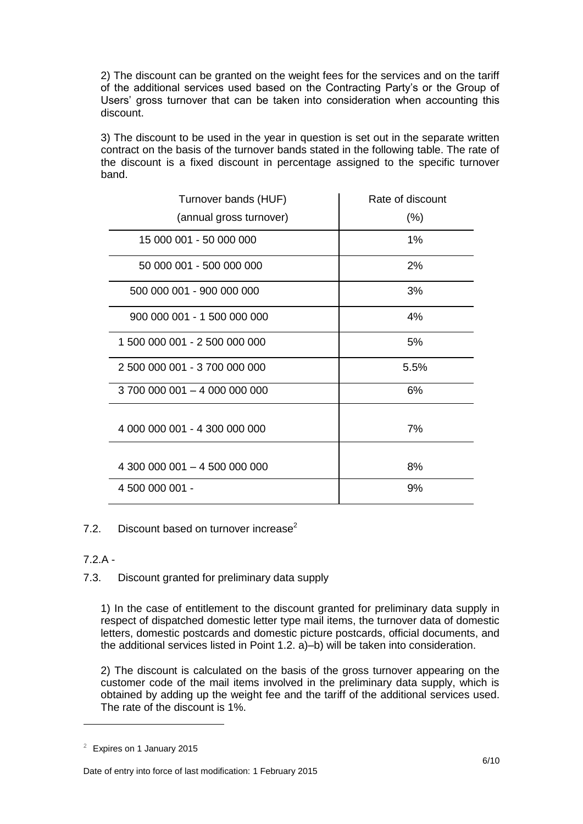2) The discount can be granted on the weight fees for the services and on the tariff of the additional services used based on the Contracting Party's or the Group of Users' gross turnover that can be taken into consideration when accounting this discount.

3) The discount to be used in the year in question is set out in the separate written contract on the basis of the turnover bands stated in the following table. The rate of the discount is a fixed discount in percentage assigned to the specific turnover band.

| Turnover bands (HUF)          | Rate of discount |
|-------------------------------|------------------|
| (annual gross turnover)       | $(\% )$          |
| 15 000 001 - 50 000 000       | 1%               |
| 50 000 001 - 500 000 000      | 2%               |
| 500 000 001 - 900 000 000     | 3%               |
| 900 000 001 - 1 500 000 000   | 4%               |
| 1 500 000 001 - 2 500 000 000 | 5%               |
| 2 500 000 001 - 3 700 000 000 | 5.5%             |
| 3 700 000 001 - 4 000 000 000 | 6%               |
| 4 000 000 001 - 4 300 000 000 | 7%               |
| 4 300 000 001 - 4 500 000 000 | 8%               |
| 4 500 000 001 -               | 9%               |

7.2. Discount based on turnover increase $2$ 

<u>—</u>

7.3. Discount granted for preliminary data supply

1) In the case of entitlement to the discount granted for preliminary data supply in respect of dispatched domestic letter type mail items, the turnover data of domestic letters, domestic postcards and domestic picture postcards, official documents, and the additional services listed in Point 1.2. a)–b) will be taken into consideration.

2) The discount is calculated on the basis of the gross turnover appearing on the customer code of the mail items involved in the preliminary data supply, which is obtained by adding up the weight fee and the tariff of the additional services used. The rate of the discount is 1%.

<sup>7.2.</sup>A -

<sup>2</sup> Expires on 1 January 2015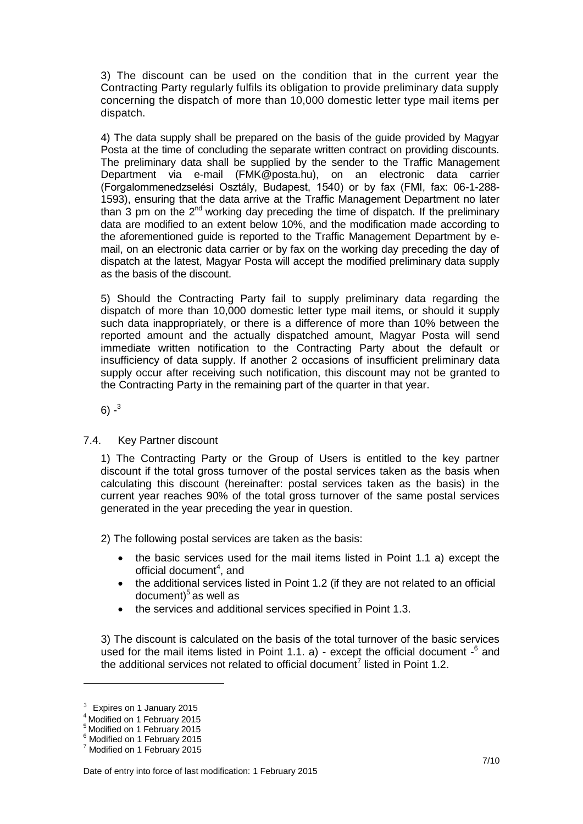3) The discount can be used on the condition that in the current year the Contracting Party regularly fulfils its obligation to provide preliminary data supply concerning the dispatch of more than 10,000 domestic letter type mail items per dispatch.

4) The data supply shall be prepared on the basis of the guide provided by Magyar Posta at the time of concluding the separate written contract on providing discounts. The preliminary data shall be supplied by the sender to the Traffic Management Department via e-mail (FMK@posta.hu), on an electronic data carrier (Forgalommenedzselési Osztály, Budapest, 1540) or by fax (FMI, fax: 06-1-288- 1593), ensuring that the data arrive at the Traffic Management Department no later than 3 pm on the  $2^{nd}$  working day preceding the time of dispatch. If the preliminary data are modified to an extent below 10%, and the modification made according to the aforementioned guide is reported to the Traffic Management Department by email, on an electronic data carrier or by fax on the working day preceding the day of dispatch at the latest, Magyar Posta will accept the modified preliminary data supply as the basis of the discount.

5) Should the Contracting Party fail to supply preliminary data regarding the dispatch of more than 10,000 domestic letter type mail items, or should it supply such data inappropriately, or there is a difference of more than 10% between the reported amount and the actually dispatched amount, Magyar Posta will send immediate written notification to the Contracting Party about the default or insufficiency of data supply. If another 2 occasions of insufficient preliminary data supply occur after receiving such notification, this discount may not be granted to the Contracting Party in the remaining part of the quarter in that year.

6) - $^3$ 

7.4. Key Partner discount

1) The Contracting Party or the Group of Users is entitled to the key partner discount if the total gross turnover of the postal services taken as the basis when calculating this discount (hereinafter: postal services taken as the basis) in the current year reaches 90% of the total gross turnover of the same postal services generated in the year preceding the year in question.

2) The following postal services are taken as the basis:

- $\bullet$  the basic services used for the mail items listed in Point 1.1 a) except the official document<sup>4</sup>, and
- the additional services listed in Point 1.2 (if they are not related to an official document)<sup>5</sup> as well as
- the services and additional services specified in Point 1.3.

3) The discount is calculated on the basis of the total turnover of the basic services used for the mail items listed in Point 1.1. a) - except the official document  $-6$  and the additional services not related to official document<sup>7</sup> listed in Point 1.2.

<u>—</u>

<sup>&</sup>lt;sup>3</sup> Expires on 1 January 2015

**Modified on 1 February 2015** 

<sup>5</sup> Modified on 1 February 2015

<sup>6</sup> Modified on 1 February 2015

<sup>7</sup> Modified on 1 February 2015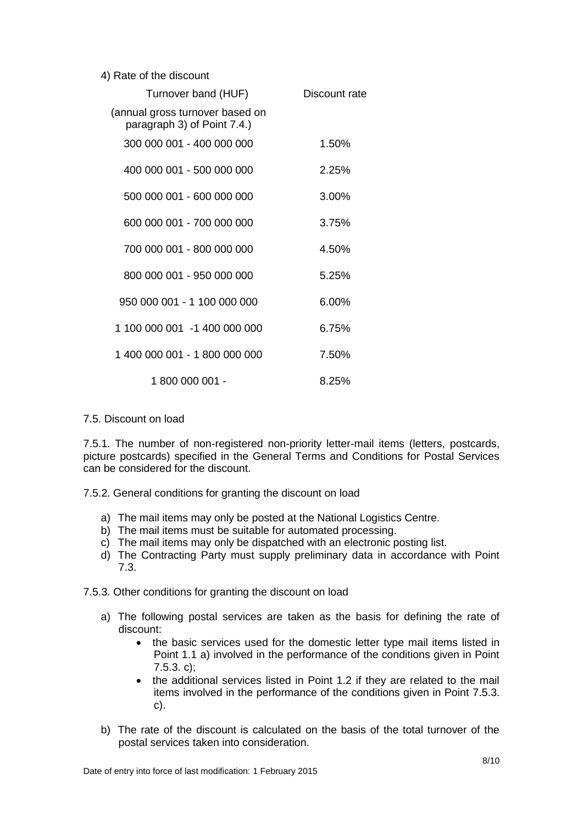|  |  |  |  | 4) Rate of the discount |
|--|--|--|--|-------------------------|
|--|--|--|--|-------------------------|

| Turnover band (HUF)                                            | Discount rate |
|----------------------------------------------------------------|---------------|
| (annual gross turnover based on<br>paragraph 3) of Point 7.4.) |               |
| 300 000 001 - 400 000 000                                      | 1.50%         |
| 400 000 001 - 500 000 000                                      | 2.25%         |
| 500 000 001 - 600 000 000                                      | 3.00%         |
| 600 000 001 - 700 000 000                                      | 3.75%         |
| 700 000 001 - 800 000 000                                      | 4.50%         |
| 800 000 001 - 950 000 000                                      | 5.25%         |
| 950 000 001 - 1 100 000 000                                    | 6.00%         |
| 1 100 000 001 -1 400 000 000                                   | 6.75%         |
| 1 400 000 001 - 1 800 000 000                                  | 7.50%         |
| 1 800 000 001 -                                                | 8.25%         |

## 7.5. Discount on load

7.5.1. The number of non-registered non-priority letter-mail items (letters, postcards, picture postcards) specified in the General Terms and Conditions for Postal Services can be considered for the discount.

7.5.2. General conditions for granting the discount on load

- a) The mail items may only be posted at the National Logistics Centre.
- b) The mail items must be suitable for automated processing.
- c) The mail items may only be dispatched with an electronic posting list.
- d) The Contracting Party must supply preliminary data in accordance with Point 7.3.

7.5.3. Other conditions for granting the discount on load

- a) The following postal services are taken as the basis for defining the rate of discount:
	- the basic services used for the domestic letter type mail items listed in Point 1.1 a) involved in the performance of the conditions given in Point 7.5.3. c);
	- the additional services listed in Point 1.2 if they are related to the mail items involved in the performance of the conditions given in Point 7.5.3. c).
- b) The rate of the discount is calculated on the basis of the total turnover of the postal services taken into consideration.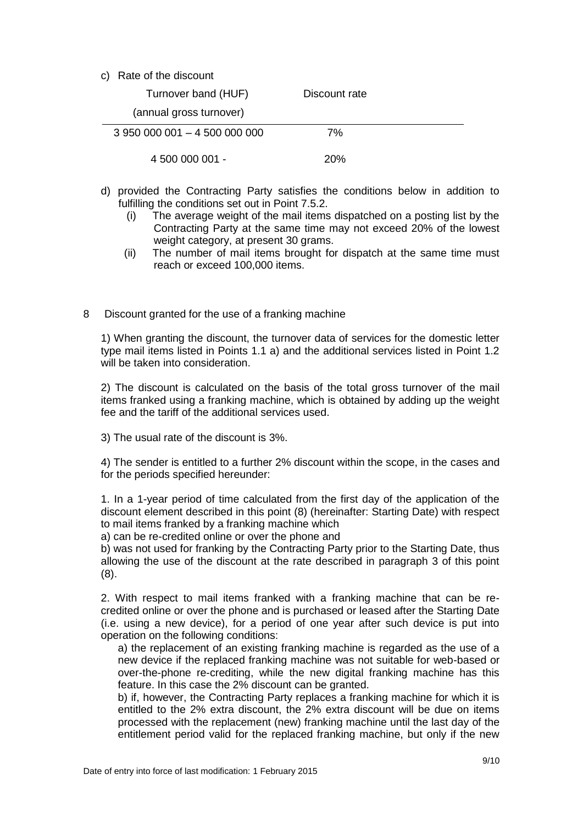c) Rate of the discount

| Turnover band (HUF)           | Discount rate |  |
|-------------------------------|---------------|--|
| (annual gross turnover)       |               |  |
| 3 950 000 001 - 4 500 000 000 | 7%            |  |
| 4 500 000 001 -               | 20%           |  |

- d) provided the Contracting Party satisfies the conditions below in addition to fulfilling the conditions set out in Point 7.5.2.
	- (i) The average weight of the mail items dispatched on a posting list by the Contracting Party at the same time may not exceed 20% of the lowest weight category, at present 30 grams.
	- (ii) The number of mail items brought for dispatch at the same time must reach or exceed 100,000 items.
- 8 Discount granted for the use of a franking machine

1) When granting the discount, the turnover data of services for the domestic letter type mail items listed in Points 1.1 a) and the additional services listed in Point 1.2 will be taken into consideration.

2) The discount is calculated on the basis of the total gross turnover of the mail items franked using a franking machine, which is obtained by adding up the weight fee and the tariff of the additional services used.

3) The usual rate of the discount is 3%.

4) The sender is entitled to a further 2% discount within the scope, in the cases and for the periods specified hereunder:

1. In a 1-year period of time calculated from the first day of the application of the discount element described in this point (8) (hereinafter: Starting Date) with respect to mail items franked by a franking machine which

a) can be re-credited online or over the phone and

b) was not used for franking by the Contracting Party prior to the Starting Date, thus allowing the use of the discount at the rate described in paragraph 3 of this point (8).

2. With respect to mail items franked with a franking machine that can be recredited online or over the phone and is purchased or leased after the Starting Date (i.e. using a new device), for a period of one year after such device is put into operation on the following conditions:

a) the replacement of an existing franking machine is regarded as the use of a new device if the replaced franking machine was not suitable for web-based or over-the-phone re-crediting, while the new digital franking machine has this feature. In this case the 2% discount can be granted.

b) if, however, the Contracting Party replaces a franking machine for which it is entitled to the 2% extra discount, the 2% extra discount will be due on items processed with the replacement (new) franking machine until the last day of the entitlement period valid for the replaced franking machine, but only if the new